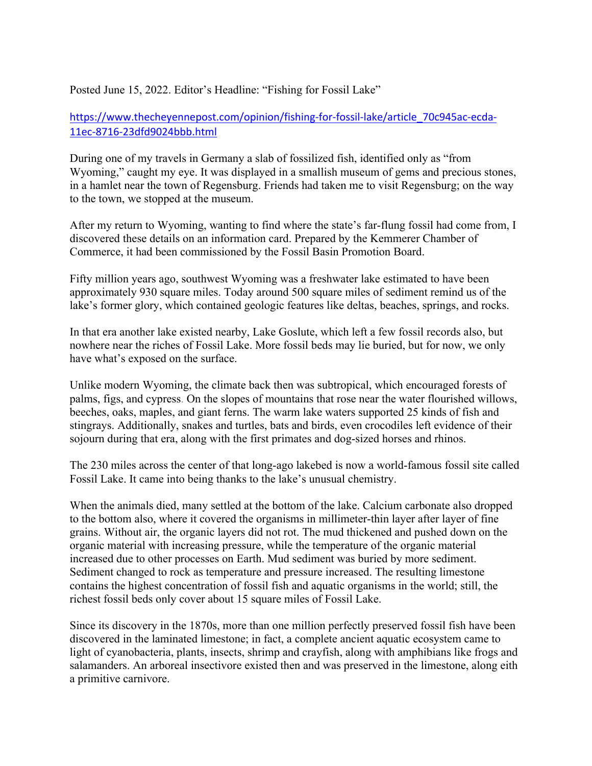Posted June 15, 2022. Editor's Headline: "Fishing for Fossil Lake"

https://www.thecheyennepost.com/opinion/fishing-for-fossil-lake/article\_70c945ac-ecda-11ec-8716-23dfd9024bbb.html

During one of my travels in Germany a slab of fossilized fish, identified only as "from Wyoming," caught my eye. It was displayed in a smallish museum of gems and precious stones, in a hamlet near the town of Regensburg. Friends had taken me to visit Regensburg; on the way to the town, we stopped at the museum.

After my return to Wyoming, wanting to find where the state's far-flung fossil had come from, I discovered these details on an information card. Prepared by the Kemmerer Chamber of Commerce, it had been commissioned by the Fossil Basin Promotion Board.

Fifty million years ago, southwest Wyoming was a freshwater lake estimated to have been approximately 930 square miles. Today around 500 square miles of sediment remind us of the lake's former glory, which contained geologic features like deltas, beaches, springs, and rocks.

In that era another lake existed nearby, Lake Goslute, which left a few fossil records also, but nowhere near the riches of Fossil Lake. More fossil beds may lie buried, but for now, we only have what's exposed on the surface.

Unlike modern Wyoming, the climate back then was subtropical, which encouraged forests of palms, figs, and cypress. On the slopes of mountains that rose near the water flourished willows, beeches, oaks, maples, and giant ferns. The warm lake waters supported 25 kinds of fish and stingrays. Additionally, snakes and turtles, bats and birds, even crocodiles left evidence of their sojourn during that era, along with the first primates and dog-sized horses and rhinos.

The 230 miles across the center of that long-ago lakebed is now a world-famous fossil site called Fossil Lake. It came into being thanks to the lake's unusual chemistry.

When the animals died, many settled at the bottom of the lake. Calcium carbonate also dropped to the bottom also, where it covered the organisms in millimeter-thin layer after layer of fine grains. Without air, the organic layers did not rot. The mud thickened and pushed down on the organic material with increasing pressure, while the temperature of the organic material increased due to other processes on Earth. Mud sediment was buried by more sediment. Sediment changed to rock as temperature and pressure increased. The resulting limestone contains the highest concentration of fossil fish and aquatic organisms in the world; still, the richest fossil beds only cover about 15 square miles of Fossil Lake.

Since its discovery in the 1870s, more than one million perfectly preserved fossil fish have been discovered in the laminated limestone; in fact, a complete ancient aquatic ecosystem came to light of cyanobacteria, plants, insects, shrimp and crayfish, along with amphibians like frogs and salamanders. An arboreal insectivore existed then and was preserved in the limestone, along eith a primitive carnivore.